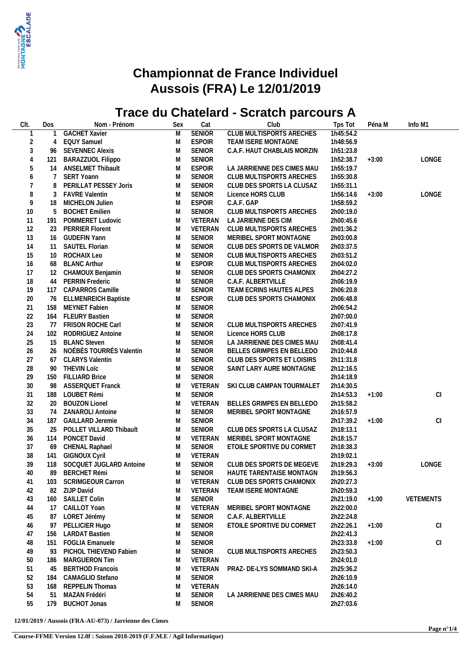

## **Championnat de France Individuel Aussois (FRA) Le 12/01/2019**

## **Trace du Chatelard - Scratch parcours A**

| CIt.           | Dos             | Nom - Prénom                | Sex | Cat           | Club                            | Tps Tot   | Péna M  | Info M1   |
|----------------|-----------------|-----------------------------|-----|---------------|---------------------------------|-----------|---------|-----------|
|                |                 | <b>GACHET Xavier</b>        | M   | <b>SENIOR</b> | <b>CLUB MULTISPORTS ARECHES</b> | 1h45:54.2 |         |           |
| $\sqrt{2}$     | 4               | <b>EQUY Samuel</b>          | M   | <b>ESPOIR</b> | TEAM ISERE MONTAGNE             | 1h48:56.9 |         |           |
| $\sqrt{3}$     | 96              | <b>SEVENNEC Alexis</b>      | M   | <b>SENIOR</b> | C.A.F. HAUT CHABLAIS MORZIN     | 1h51:23.8 |         |           |
| 4              | 121             | BARAZZUOL Filippo           | M   | SENIOR        |                                 | 1h52:38.7 | $+3:00$ | LONGE     |
| 5              | 14              | <b>ANSELMET Thibault</b>    | M   | <b>ESPOIR</b> | LA JARRIENNE DES CIMES MAU      | 1h55:19.7 |         |           |
| 6              | 7               | <b>SERT Yoann</b>           | M   | SENIOR        | CLUB MULTISPORTS ARECHES        | 1h55:30.8 |         |           |
|                | 8               | PERILLAT PESSEY Joris       | M   | SENIOR        | CLUB DES SPORTS LA CLUSAZ       | 1h55:31.1 |         |           |
|                |                 |                             |     |               |                                 |           |         |           |
| 8              | 3               | <b>FAVRE Valentin</b>       | M   | SENIOR        | Licence HORS CLUB               | 1h56:14.6 | $+3:00$ | LONGE     |
| $\overline{9}$ | 18              | MICHELON Julien             | M   | <b>ESPOIR</b> | C.A.F. GAP                      | 1h58:59.2 |         |           |
| 10             | 5               | <b>BOCHET Emilien</b>       | M   | SENIOR        | CLUB MULTISPORTS ARECHES        | 2h00:19.0 |         |           |
| 11             | 191             | POMMERET Ludovic            | M   | VETERAN       | LA JARIENNE DES CIM             | 2h00:45.6 |         |           |
| 12             | 23              | <b>PERRIER Florent</b>      | M   | VETERAN       | CLUB MULTISPORTS ARECHES        | 2h01:36.2 |         |           |
| 13             | 16              | <b>GUDEFIN Yann</b>         | M   | <b>SENIOR</b> | MERIBEL SPORT MONTAGNE          | 2h03:00.8 |         |           |
| 14             | 11              | <b>SAUTEL Florian</b>       | M   | SENIOR        | CLUB DES SPORTS DE VALMOR       | 2h03:37.5 |         |           |
| 15             | 10 <sup>°</sup> | ROCHAIX Leo                 | M   | SENIOR        | CLUB MULTISPORTS ARECHES        | 2h03:51.2 |         |           |
| 16             | 68              | <b>BLANC Arthur</b>         | M   | <b>ESPOIR</b> | CLUB MULTISPORTS ARECHES        | 2h04:02.0 |         |           |
| 17             | 12              | CHAMOUX Benjamin            | M   | SENIOR        | CLUB DES SPORTS CHAMONIX        | 2h04:27.2 |         |           |
| 18             | 44              | PERRIN Frederic             | M   | <b>SENIOR</b> | C.A.F. ALBERTVILLE              | 2h06:19.9 |         |           |
| 19             | 117             | <b>CAPARROS Camille</b>     | M   | <b>SENIOR</b> | TEAM ECRINS HAUTES ALPES        | 2h06:20.8 |         |           |
| 20             | 76              | <b>ELLMENREICH Baptiste</b> | M   | <b>ESPOIR</b> | CLUB DES SPORTS CHAMONIX        | 2h06:48.8 |         |           |
| 21             | 158             | MEYNET Fabien               | M   | SENIOR        |                                 | 2h06:54.2 |         |           |
| 22             | 164             | <b>FLEURY Bastien</b>       | M   | <b>SENIOR</b> |                                 | 2h07:00.0 |         |           |
| 23             | 77              | FRISON ROCHE Carl           | M   | SENIOR        | CLUB MULTISPORTS ARECHES        | 2h07:41.9 |         |           |
| 24             | 102             | RODRIGUEZ Antoine           | M   | <b>SENIOR</b> | Licence HORS CLUB               | 2h08:17.8 |         |           |
| 25             | 15              | <b>BLANC Steven</b>         | M   | SENIOR        | LA JARRIENNE DES CIMES MAU      | 2h08:41.4 |         |           |
| 26             | 26              | NOÉBÈS TOURRÈS Valentin     | M   | SENIOR        | BELLES GRIMPES EN BELLEDO       | 2h10:44.8 |         |           |
| 27             | 67              | <b>CLARYS Valentin</b>      | M   | SENIOR        | CLUB DES SPORTS ET LOISIRS      | 2h11:31.8 |         |           |
| 28             | 90              | <b>THEVIN LOIC</b>          | M   | SENIOR        | SAINT LARY AURE MONTAGNE        | 2h12:16.5 |         |           |
| 29             | 150             | <b>FILLIARD Brice</b>       | M   | SENIOR        |                                 | 2h14:18.9 |         |           |
| 30             | 98              | <b>ASSERQUET Franck</b>     | M   | VETERAN       | SKI CLUB CAMPAN TOURMALET       | 2h14:30.5 |         |           |
| 31             | 188             | LOUBET Rémi                 | M   | SENIOR        |                                 | 2h14:53.3 | $+1:00$ | CI        |
| 32             | 20              | <b>BOUZON Lionel</b>        | M   | VETERAN       | BELLES GRIMPES EN BELLEDO       | 2h15:58.2 |         |           |
| 33             | 74              | ZANAROLI Antoine            | M   | SENIOR        | MERIBEL SPORT MONTAGNE          | 2h16:57.9 |         |           |
| 34             | 187             | <b>GAILLARD Jeremie</b>     | M   | SENIOR        |                                 | 2h17:39.2 | $+1:00$ | CI        |
| 35             | 25              | POLLET VILLARD Thibault     | M   | SENIOR        | CLUB DES SPORTS LA CLUSAZ       | 2h18:13.1 |         |           |
| 36             | 114             | PONCET David                | M   | VETERAN       | MERIBEL SPORT MONTAGNE          | 2h18:15.7 |         |           |
| 37             | 69              | <b>CHENAL Raphael</b>       | M   | SENIOR        | ETOILE SPORTIVE DU CORMET       | 2h18:38.3 |         |           |
| 38             | 141             | <b>GIGNOUX Cyril</b>        | M   | VETERAN       |                                 | 2h19:02.1 |         |           |
| 39             |                 | 118 SOCQUET JUGLARD Antoine | M   | SENIOR        | CLUB DES SPORTS DE MEGEVE       | 2h19:29.3 | $+3:00$ | LONGE     |
| 40             |                 | 89 BERCHET Rémi             | M   | SENIOR        | HAUTE TARENTAISE MONTAGN        | 2h19:56.3 |         |           |
| 41             |                 | 103 SCRIMGEOUR Carron       | M   | VETERAN       | CLUB DES SPORTS CHAMONIX        | 2h20:27.3 |         |           |
| 42             |                 | 82 ZIJP David               | M   | VETERAN       | TEAM ISERE MONTAGNE             | 2h20:59.3 |         |           |
| 43             | 160             | SAILLET Colin               | M   | SENIOR        |                                 | 2h21:19.0 | $+1:00$ | VETEMENTS |
| 44             | 17              | CAILLOT Yoan                | M   | VETERAN       | MERIBEL SPORT MONTAGNE          | 2h22:00.0 |         |           |
| 45             | 87              | LORET Jérémy                | M   | SENIOR        | C.A.F. ALBERTVILLE              | 2h22:24.8 |         |           |
|                |                 |                             |     | SENIOR        |                                 | 2h22:26.1 |         |           |
| 46             | 97              | PELLICIER Hugo              | M   |               | ETOILE SPORTIVE DU CORMET       | 2h22:41.3 | $+1:00$ | CI        |
| 47             | 156             | <b>LARDAT Bastien</b>       | M   | SENIOR        |                                 |           |         |           |
| 48             | 151             | <b>FOGLIA Emanuele</b>      | M   | SENIOR        |                                 | 2h23:33.8 | $+1:00$ | CI        |
| 49             | 93              | PICHOL THIEVEND Fabien      | M   | SENIOR        | CLUB MULTISPORTS ARECHES        | 2h23:50.3 |         |           |
| 50             | 186             | MARGUERON Tim               | M   | VETERAN       |                                 | 2h24:01.0 |         |           |
| 51             | 45              | <b>BERTHOD Francois</b>     | M   | VETERAN       | PRAZ- DE-LYS SOMMAND SKI-A      | 2h25:36.2 |         |           |
| 52             | 184             | CAMAGLIO Stefano            | M   | SENIOR        |                                 | 2h26:10.9 |         |           |
| 53             | 168             | REPPELIN Thomas             | M   | VETERAN       |                                 | 2h26:14.0 |         |           |
| 54             | 51              | MAZAN Frédéri               | M   | SENIOR        | LA JARRIENNE DES CIMES MAU      | 2h26:40.2 |         |           |
| 55             | 179             | <b>BUCHOT Jonas</b>         | M   | SENIOR        |                                 | 2h27:03.6 |         |           |

**12/01/2019 / Aussois (FRA-AU-073) / Jarrienne des Cimes**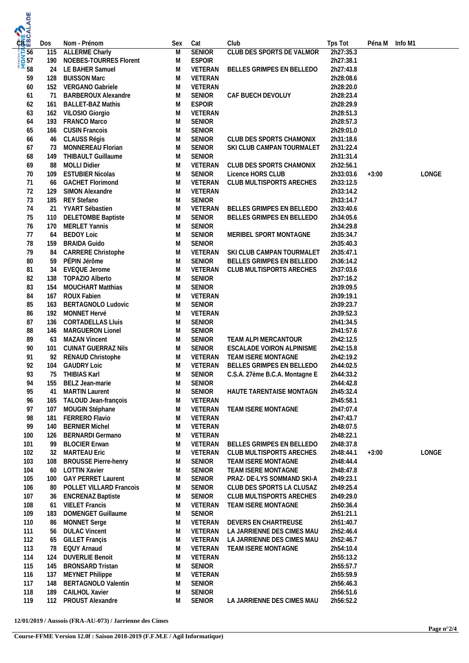| <b>RIEA</b>                             |           |                                                      |        |                                |                                                         |                        |                |       |
|-----------------------------------------|-----------|------------------------------------------------------|--------|--------------------------------|---------------------------------------------------------|------------------------|----------------|-------|
|                                         | Dos       | Nom - Prénom                                         | Sex    | Cat                            | Club                                                    | Tps Tot                | Péna M Info M1 |       |
| <b>ENDED</b><br>SO 57<br>SO 58<br>SO 58 | 115       | <b>ALLERME Charly</b>                                | M      | <b>SENIOR</b>                  | <b>CLUB DES SPORTS DE VALMOR</b>                        | 2h27:35.3              |                |       |
|                                         | 190<br>24 | NOEBES-TOURRES Florent<br>LE BAHER Samuel            | M<br>M | <b>ESPOIR</b><br>VETERAN       | BELLES GRIMPES EN BELLEDO                               | 2h27:38.1<br>2h27:43.8 |                |       |
|                                         | 128       | <b>BUISSON Marc</b>                                  | M      | VETERAN                        |                                                         | 2h28:08.6              |                |       |
| 59<br>60                                | 152       | VERGANO Gabriele                                     | M      | VETERAN                        |                                                         | 2h28:20.0              |                |       |
| 61                                      | 71        | <b>BARBEROUX Alexandre</b>                           | M      | <b>SENIOR</b>                  | CAF BUECH DEVOLUY                                       | 2h28:23.4              |                |       |
| 62                                      | 161       | <b>BALLET-BAZ Mathis</b>                             | M      | <b>ESPOIR</b>                  |                                                         | 2h28:29.9              |                |       |
| 63                                      | 162       | VILOSIO Giorgio                                      | M      | VETERAN                        |                                                         | 2h28:51.3              |                |       |
| 64                                      | 193       | FRANCO Marco                                         | M      | <b>SENIOR</b>                  |                                                         | 2h28:57.3              |                |       |
| 65                                      | 166       | <b>CUSIN Francois</b>                                | M      | <b>SENIOR</b>                  |                                                         | 2h29:01.0              |                |       |
| 66                                      | 46        | CLAUSS Régis                                         | M      | <b>SENIOR</b>                  | CLUB DES SPORTS CHAMONIX                                | 2h31:18.6              |                |       |
| 67                                      | 73        | MONNEREAU Florian                                    | M      | <b>SENIOR</b>                  | SKI CLUB CAMPAN TOURMALET                               | 2h31:22.4              |                |       |
| 68                                      | 149       | <b>THIBAULT Guillaume</b>                            | M      | <b>SENIOR</b>                  |                                                         | 2h31:31.4              |                |       |
| 69                                      | 88        | <b>MOLLI Didier</b>                                  | M      | VETERAN                        | CLUB DES SPORTS CHAMONIX                                | 2h32:56.1              |                |       |
| 70                                      | 109       | <b>ESTUBIER Nicolas</b>                              | M      | <b>SENIOR</b>                  | Licence HORS CLUB                                       | 2h33:03.6              | $+3:00$        | LONGE |
| 71                                      | 66        | <b>GACHET Florimond</b>                              | M      | VETERAN                        | CLUB MULTISPORTS ARECHES                                | 2h33:12.5              |                |       |
| 72                                      | 129       | SIMON Alexandre                                      | M      | VETERAN                        |                                                         | 2h33:14.2              |                |       |
| 73                                      | 185       | <b>REY Stefano</b>                                   | M      | <b>SENIOR</b>                  |                                                         | 2h33:14.7              |                |       |
| 74                                      | 21        | YVART Sébastien                                      | M      | VETERAN                        | BELLES GRIMPES EN BELLEDO                               | 2h33:40.6              |                |       |
| 75                                      | 110       | <b>DELETOMBE Baptiste</b>                            | M      | <b>SENIOR</b>                  | BELLES GRIMPES EN BELLEDO                               | 2h34:05.6              |                |       |
| 76<br>77                                | 170       | <b>MERLET Yannis</b><br><b>BEDOY Loic</b>            | M<br>M | <b>SENIOR</b><br><b>SENIOR</b> | MERIBEL SPORT MONTAGNE                                  | 2h34:29.8<br>2h35:34.7 |                |       |
| 78                                      | 64<br>159 | <b>BRAIDA Guido</b>                                  | M      | <b>SENIOR</b>                  |                                                         | 2h35:40.3              |                |       |
| 79                                      | 84        | <b>CARRERE Christophe</b>                            | M      | VETERAN                        | SKI CLUB CAMPAN TOURMALET                               | 2h35:47.1              |                |       |
| 80                                      | 59        | PÉPIN Jérôme                                         | M      | <b>SENIOR</b>                  | BELLES GRIMPES EN BELLEDO                               | 2h36:14.2              |                |       |
| 81                                      | 34        | <b>EVEQUE Jerome</b>                                 | M      | VETERAN                        | CLUB MULTISPORTS ARECHES                                | 2h37:03.6              |                |       |
| 82                                      | 138       | TOPAZIO Alberto                                      | M      | <b>SENIOR</b>                  |                                                         | 2h37:16.2              |                |       |
| 83                                      | 154       | MOUCHART Matthias                                    | M      | SENIOR                         |                                                         | 2h39:09.5              |                |       |
| 84                                      | 167       | ROUX Fabien                                          | M      | VETERAN                        |                                                         | 2h39:19.1              |                |       |
| 85                                      | 163       | BERTAGNOLO Ludovic                                   | M      | <b>SENIOR</b>                  |                                                         | 2h39:23.7              |                |       |
| 86                                      | 192       | MONNET Hervé                                         | M      | VETERAN                        |                                                         | 2h39:52.3              |                |       |
| 87                                      | 136       | <b>CORTADELLAS Lluis</b>                             | M      | <b>SENIOR</b>                  |                                                         | 2h41:34.5              |                |       |
| 88                                      | 146       | MARGUERON Lionel                                     | M      | <b>SENIOR</b>                  |                                                         | 2h41:57.6              |                |       |
| 89                                      | 63        | <b>MAZAN Vincent</b>                                 | M      | <b>SENIOR</b>                  | TEAM ALPI MERCANTOUR                                    | 2h42:12.5              |                |       |
| 90<br>91                                | 101<br>92 | CUINAT GUERRAZ Nils<br>RENAUD Christophe             | M<br>M | <b>SENIOR</b><br>VETERAN       | ESCALADE VOIRON ALPINISME<br>TEAM ISERE MONTAGNE        | 2h42:15.8<br>2h42:19.2 |                |       |
| 92                                      | 104       | <b>GAUDRY Loic</b>                                   | M      | VETERAN                        | BELLES GRIMPES EN BELLEDO                               | 2h44:02.5              |                |       |
| 93                                      | 75        | THIBIAS Karl                                         | M      | SENIOR                         | C.S.A. 27ème B.C.A. Montagne E                          | 2h44:33.2              |                |       |
| 94                                      | 155       | BELZ Jean-marie                                      | M      | <b>SENIOR</b>                  |                                                         | 2h44:42.8              |                |       |
| 95                                      | 41        | <b>MARTIN Laurent</b>                                | M      | SENIOR                         | HAUTE TARENTAISE MONTAGN                                | 2h45:32.4              |                |       |
| 96                                      | 165       | TALOUD Jean-françois                                 | M      | VETERAN                        |                                                         | 2h45:58.1              |                |       |
| 97                                      | 107       | MOUGIN Stéphane                                      | M      | VETERAN                        | TEAM ISERE MONTAGNE                                     | 2h47:07.4              |                |       |
| 98                                      | 181       | FERRERO Flavio                                       | M      | VETERAN                        |                                                         | 2h47:43.7              |                |       |
| 99                                      | 140       | <b>BERNIER Michel</b>                                | M      | VETERAN                        |                                                         | 2h48:07.5              |                |       |
| 100                                     | 126       | <b>BERNARDI Germano</b>                              | M      | VETERAN                        |                                                         | 2h48:22.1              |                |       |
| 101                                     | 99        | <b>BLOCIER Erwan</b>                                 | M      | VETERAN                        | BELLES GRIMPES EN BELLEDO                               | 2h48:37.8              |                |       |
| 102                                     | 32        | <b>MARTEAU Eric</b>                                  | M      | VETERAN                        | CLUB MULTISPORTS ARECHES                                | 2h48:44.1              | $+3:00$        | LONGE |
| 103                                     | 108       | <b>BROUSSE Pierre-henry</b>                          | M      | <b>SENIOR</b>                  | TEAM ISERE MONTAGNE                                     | 2h48:44.4              |                |       |
| 104                                     | 60        | <b>LOTTIN Xavier</b>                                 | M      | <b>SENIOR</b>                  | TEAM ISERE MONTAGNE                                     | 2h48:47.8              |                |       |
| 105<br>106                              | 100<br>80 | <b>GAY PERRET Laurent</b><br>POLLET VILLARD Francois | M<br>M | <b>SENIOR</b><br><b>SENIOR</b> | PRAZ- DE-LYS SOMMAND SKI-A<br>CLUB DES SPORTS LA CLUSAZ | 2h49:23.1<br>2h49:25.4 |                |       |
| 107                                     | 36        | <b>ENCRENAZ Baptiste</b>                             | M      | SENIOR                         | CLUB MULTISPORTS ARECHES                                | 2h49:29.0              |                |       |
| 108                                     | 61        | <b>VIELET Francis</b>                                | M      | VETERAN                        | TEAM ISERE MONTAGNE                                     | 2h50:36.4              |                |       |
| 109                                     | 183       | DOMENGET Guillaume                                   | M      | SENIOR                         |                                                         | 2h51:21.1              |                |       |
| 110                                     | 86        | MONNET Serge                                         | M      | VETERAN                        | DEVERS EN CHARTREUSE                                    | 2h51:40.7              |                |       |
| 111                                     | 56        | <b>DULAC Vincent</b>                                 | M      | VETERAN                        | LA JARRIENNE DES CIMES MAU                              | 2h52:46.4              |                |       |
| 112                                     | 65        | <b>GILLET Françis</b>                                | M      | VETERAN                        | LA JARRIENNE DES CIMES MAU                              | 2h52:46.7              |                |       |
| 113                                     | 78        | <b>EQUY Arnaud</b>                                   | M      | VETERAN                        | TEAM ISERE MONTAGNE                                     | 2h54:10.4              |                |       |
| 114                                     | 124       | <b>DUVERLIE Benoit</b>                               | M      | VETERAN                        |                                                         | 2h55:13.2              |                |       |
| 115                                     | 145       | <b>BRONSARD Tristan</b>                              | M      | SENIOR                         |                                                         | 2h55:57.7              |                |       |
| 116                                     | 137       | MEYNET Philippe                                      | M      | VETERAN                        |                                                         | 2h55:59.9              |                |       |
| 117                                     | 148       | <b>BERTAGNOLO Valentin</b>                           | M      | SENIOR                         |                                                         | 2h56:46.3              |                |       |
| 118                                     | 189       | CAILHOL Xavier                                       | M      | SENIOR                         |                                                         | 2h56:51.6              |                |       |
| 119                                     | 112       | PROUST Alexandre                                     | M      | SENIOR                         | LA JARRIENNE DES CIMES MAU                              | 2h56:52.2              |                |       |

**12/01/2019 / Aussois (FRA-AU-073) / Jarrienne des Cimes**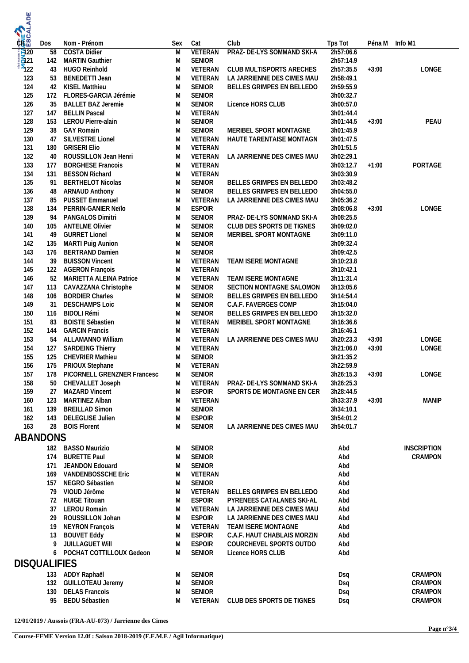| <b>MONTAGE ANDE</b> |           |                                                  |        |                          |                             |                        |                |                    |
|---------------------|-----------|--------------------------------------------------|--------|--------------------------|-----------------------------|------------------------|----------------|--------------------|
|                     | Dos       | Nom - Prénom                                     | Sex    | Cat                      | Club                        |                        | Péna M Info M1 |                    |
|                     | 58        | <b>COSTA Didier</b>                              | M      | <b>VETERAN</b>           | PRAZ- DE-LYS SOMMAND SKI-A  | Tps Tot<br>2h57:06.6   |                |                    |
|                     |           | 142 MARTIN Gauthier                              | M      | <b>SENIOR</b>            |                             | 2h57:14.9              |                |                    |
|                     | 43        | <b>HUGO Reinhold</b>                             | M      | VETERAN                  | CLUB MULTISPORTS ARECHES    | 2h57:35.5              | $+3:00$        | LONGE              |
| 123                 | 53        | <b>BENEDETTI Jean</b>                            | M      | VETERAN                  | LA JARRIENNE DES CIMES MAU  | 2h58:49.1              |                |                    |
| 124                 | 42        | KISEL Matthieu                                   | M      | <b>SENIOR</b>            | BELLES GRIMPES EN BELLEDO   | 2h59:55.9              |                |                    |
| 125                 | 172       | FLORES-GARCIA Jérémie                            | M      | <b>SENIOR</b>            |                             | 3h00:32.7              |                |                    |
| 126                 | 35        | <b>BALLET BAZ Jeremie</b>                        | M      | <b>SENIOR</b>            | Licence HORS CLUB           | 3h00:57.0              |                |                    |
| 127                 | 147       | <b>BELLIN Pascal</b>                             | M      | VETERAN                  |                             | 3h01:44.4              |                |                    |
| 128                 | 153       | LEROU Pierre-alain                               | M      | <b>SENIOR</b>            |                             | 3h01:44.5              | $+3:00$        | PEAU               |
| 129                 | 38        | <b>GAY Romain</b>                                | M      | <b>SENIOR</b>            | MERIBEL SPORT MONTAGNE      | 3h01:45.9              |                |                    |
| 130<br>131          | 47<br>180 | SILVESTRE Lionel<br><b>GRISERI Elio</b>          | M<br>M | VETERAN<br>VETERAN       | HAUTE TARENTAISE MONTAGN    | 3h01:47.5<br>3h01:51.5 |                |                    |
| 132                 | 40        | ROUSSILLON Jean Henri                            | M      | VETERAN                  | LA JARRIENNE DES CIMES MAU  | 3h02:29.1              |                |                    |
| 133                 | 177       | <b>BORGHESE Francois</b>                         | M      | VETERAN                  |                             | 3h03:12.7              | $+1:00$        | PORTAGE            |
| 134                 | 131       | <b>BESSON Richard</b>                            | M      | VETERAN                  |                             | 3h03:30.9              |                |                    |
| 135                 | 91        | <b>BERTHELOT Nicolas</b>                         | M      | <b>SENIOR</b>            | BELLES GRIMPES EN BELLEDO   | 3h03:48.2              |                |                    |
| 136                 | 48        | <b>ARNAUD Anthony</b>                            | M      | <b>SENIOR</b>            | BELLES GRIMPES EN BELLEDO   | 3h04:55.0              |                |                    |
| 137                 | 85        | <b>PUSSET Emmanuel</b>                           | M      | VETERAN                  | LA JARRIENNE DES CIMES MAU  | 3h05:36.2              |                |                    |
| 138                 | 134       | PERRIN-GANIER Neïlo                              | M      | <b>ESPOIR</b>            |                             | 3h08:06.8              | $+3:00$        | LONGE              |
| 139                 | 94        | PANGALOS Dimitri                                 | M      | <b>SENIOR</b>            | PRAZ- DE-LYS SOMMAND SKI-A  | 3h08:25.5              |                |                    |
| 140                 | 105       | <b>ANTELME Olivier</b>                           | M      | <b>SENIOR</b>            | CLUB DES SPORTS DE TIGNES   | 3h09:02.0              |                |                    |
| 141                 | 49        | <b>GURRET Lionel</b>                             | M      | <b>SENIOR</b>            | MERIBEL SPORT MONTAGNE      | 3h09:11.0              |                |                    |
| 142                 | 135       | <b>MARTI Puig Aunion</b>                         | M      | <b>SENIOR</b>            |                             | 3h09:32.4              |                |                    |
| 143                 | 176       | <b>BERTRAND Damien</b>                           | M      | <b>SENIOR</b>            |                             | 3h09:42.5              |                |                    |
| 144<br>145          | 39<br>122 | <b>BUISSON Vincent</b><br><b>AGERON François</b> | M<br>M | VETERAN<br>VETERAN       | TEAM ISERE MONTAGNE         | 3h10:23.8<br>3h10:42.1 |                |                    |
| 146                 | 52        | <b>MARIETTA ALEINA Patrice</b>                   | M      | VETERAN                  | TEAM ISERE MONTAGNE         | 3h11:31.4              |                |                    |
| 147                 | 113       | CAVAZZANA Christophe                             | M      | <b>SENIOR</b>            | SECTION MONTAGNE SALOMON    | 3h13:05.6              |                |                    |
| 148                 | 106       | <b>BORDIER Charles</b>                           | M      | <b>SENIOR</b>            | BELLES GRIMPES EN BELLEDO   | 3h14:54.4              |                |                    |
| 149                 | 31        | <b>DESCHAMPS Loic</b>                            | M      | <b>SENIOR</b>            | C.A.F. FAVERGES COMP        | 3h15:04.0              |                |                    |
| 150                 | 116       | <b>BIDOLI Rémi</b>                               | M      | <b>SENIOR</b>            | BELLES GRIMPES EN BELLEDO   | 3h15:32.0              |                |                    |
| 151                 | 83        | <b>BOISTE Sébastien</b>                          | M      | VETERAN                  | MERIBEL SPORT MONTAGNE      | 3h16:36.6              |                |                    |
| 152                 | 144       | <b>GARCIN Francis</b>                            | M      | VETERAN                  |                             | 3h16:46.1              |                |                    |
| 153                 | 54        | ALLAMANNO William                                | M      | VETERAN                  | LA JARRIENNE DES CIMES MAU  | 3h20:23.3              | $+3:00$        | LONGE              |
| 154                 | 127       | <b>SARDEING Thierry</b>                          | M      | VETERAN                  |                             | 3h21:06.0              | $+3:00$        | LONGE              |
| 155                 | 125       | <b>CHEVRIER Mathieu</b>                          | M      | <b>SENIOR</b>            |                             | 3h21:35.2              |                |                    |
| 156                 | 175       | PRIOUX Stephane                                  | M      | VETERAN                  |                             | 3h22:59.9              |                |                    |
| 157                 | 178       | PICORNELL GRENZNER Francesc                      | M      | <b>SENIOR</b>            | PRAZ- DE-LYS SOMMAND SKI-A  | 3h26:15.3              | $+3:00$        | LONGE              |
| 158<br>159          | 50<br>27  | CHEVALLET Joseph<br><b>MAZARD Vincent</b>        | M<br>M | VETERAN<br><b>ESPOIR</b> | SPORTS DE MONTAGNE EN CER   | 3h26:25.3<br>3h28:44.5 |                |                    |
| 160                 | 123       | MARTINEZ Alban                                   | M      | VETERAN                  |                             | 3h33:37.9              | $+3:00$        | <b>MANIP</b>       |
| 161                 | 139       | <b>BREILLAD Simon</b>                            | M      | <b>SENIOR</b>            |                             | 3h34:10.1              |                |                    |
| 162                 | 143       | DELEGLISE Julien                                 | M      | <b>ESPOIR</b>            |                             | 3h54:01.2              |                |                    |
| 163                 |           | 28 BOIS Florent                                  | M      | <b>SENIOR</b>            | LA JARRIENNE DES CIMES MAU  | 3h54:01.7              |                |                    |
| ABANDONS            |           |                                                  |        |                          |                             |                        |                |                    |
|                     |           | 182 BASSO Maurizio                               | M      | <b>SENIOR</b>            |                             | Abd                    |                | <b>INSCRIPTION</b> |
|                     | 174       | <b>BURETTE Paul</b>                              | M      | <b>SENIOR</b>            |                             | Abd                    |                | CRAMPON            |
|                     | 171       | JEANDON Edouard                                  | M      | <b>SENIOR</b>            |                             | Abd                    |                |                    |
|                     | 169       | <b>VANDENBOSSCHE Eric</b>                        | M      | VETERAN                  |                             | Abd                    |                |                    |
|                     | 157       | NEGRO Sébastien                                  | M      | <b>SENIOR</b>            |                             | Abd                    |                |                    |
|                     | 79        | VIOUD Jérôme                                     | M      | VETERAN                  | BELLES GRIMPES EN BELLEDO   | Abd                    |                |                    |
|                     |           | 72 HUIGE Titouan                                 | M      | <b>ESPOIR</b>            | PYRENEES CATALANES SKI-AL   | Abd                    |                |                    |
|                     | 37        | <b>LEROU Romain</b>                              | M      | VETERAN                  | LA JARRIENNE DES CIMES MAU  | Abd                    |                |                    |
|                     | 29        | ROUSSILLON Johan                                 | M      | <b>ESPOIR</b>            | LA JARRIENNE DES CIMES MAU  | Abd                    |                |                    |
|                     | 19        | <b>NEYRON François</b>                           | M      | VETERAN                  | TEAM ISERE MONTAGNE         | Abd                    |                |                    |
|                     | 13        | <b>BOUVET Eddy</b>                               | M      | <b>ESPOIR</b>            | C.A.F. HAUT CHABLAIS MORZIN | Abd                    |                |                    |
|                     | 9         | JUILLAGUET Will                                  | M      | <b>ESPOIR</b>            | COURCHEVEL SPORTS OUTDO     | Abd                    |                |                    |
|                     | 6         | POCHAT COTTILLOUX Gedeon                         | M      | <b>SENIOR</b>            | Licence HORS CLUB           | Abd                    |                |                    |
| <b>DISQUALIFIES</b> |           |                                                  |        |                          |                             |                        |                |                    |
|                     |           | 133 ADDY Raphaël                                 | M      | <b>SENIOR</b>            |                             | Dsq                    |                | CRAMPON            |
|                     | 132       | <b>GUILLOTEAU Jeremy</b>                         | M      | <b>SENIOR</b>            |                             | Dsq                    |                | CRAMPON            |
|                     | 130       | <b>DELAS Francois</b>                            | M      | <b>SENIOR</b>            |                             | Dsq                    |                | CRAMPON            |
|                     | 95        | <b>BEDU Sébastien</b>                            | M      | VETERAN                  | CLUB DES SPORTS DE TIGNES   | Dsq                    |                | CRAMPON            |

**12/01/2019 / Aussois (FRA-AU-073) / Jarrienne des Cimes**